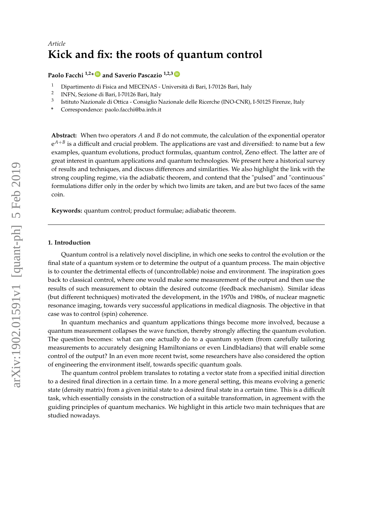# *Article* **Kick and fix: the roots of quantum control**

**Paolo Facchi 1,2\* [ID](https://orcid.org/0000-0001-9152-6515) and Saverio Pascazio 1,2,3 [ID](https://orcid.org/0000-0002-7214-5685)**

- <sup>1</sup> Dipartimento di Fisica and MECENAS Università di Bari, I-70126 Bari, Italy
- 2 INFN, Sezione di Bari, I-70126 Bari, Italy
- 3 Istituto Nazionale di Ottica - Consiglio Nazionale delle Ricerche (INO-CNR), I-50125 Firenze, Italy
- **\*** Correspondence: paolo.facchi@ba.infn.it

**Abstract:** When two operators *A* and *B* do not commute, the calculation of the exponential operator  $\mathrm{e}^{A+B}$  is a difficult and crucial problem. The applications are vast and diversified: to name but a few examples, quantum evolutions, product formulas, quantum control, Zeno effect. The latter are of great interest in quantum applications and quantum technologies. We present here a historical survey of results and techniques, and discuss differences and similarities. We also highlight the link with the strong coupling regime, via the adiabatic theorem, and contend that the "pulsed" and "continuous" formulations differ only in the order by which two limits are taken, and are but two faces of the same coin.

**Keywords:** quantum control; product formulae; adiabatic theorem.

## **1. Introduction**

Quantum control is a relatively novel discipline, in which one seeks to control the evolution or the final state of a quantum system or to determine the output of a quantum process. The main objective is to counter the detrimental effects of (uncontrollable) noise and environment. The inspiration goes back to classical control, where one would make some measurement of the output and then use the results of such measurement to obtain the desired outcome (feedback mechanism). Similar ideas (but different techniques) motivated the development, in the 1970s and 1980s, of nuclear magnetic resonance imaging, towards very successful applications in medical diagnosis. The objective in that case was to control (spin) coherence.

In quantum mechanics and quantum applications things become more involved, because a quantum measurement collapses the wave function, thereby strongly affecting the quantum evolution. The question becomes: what can one actually do to a quantum system (from carefully tailoring measurements to accurately designing Hamiltonians or even Lindbladians) that will enable some control of the output? In an even more recent twist, some researchers have also considered the option of engineering the environment itself, towards specific quantum goals.

The quantum control problem translates to rotating a vector state from a specified initial direction to a desired final direction in a certain time. In a more general setting, this means evolving a generic state (density matrix) from a given initial state to a desired final state in a certain time. This is a difficult task, which essentially consists in the construction of a suitable transformation, in agreement with the guiding principles of quantum mechanics. We highlight in this article two main techniques that are studied nowadays.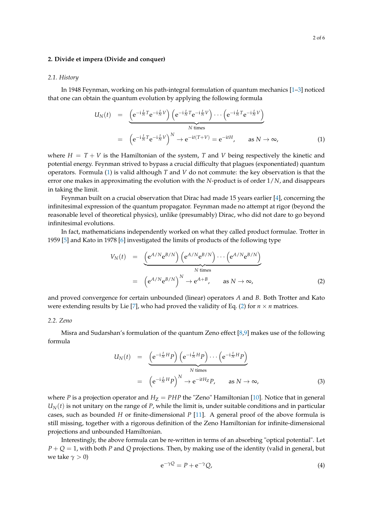## **2. Divide et impera (Divide and conquer)**

#### *2.1. History*

In 1948 Feynman, working on his path-integral formulation of quantum mechanics [\[1–](#page-4-0)[3\]](#page-4-1) noticed that one can obtain the quantum evolution by applying the following formula

<span id="page-1-0"></span>
$$
U_N(t) = \underbrace{\left(e^{-i\frac{t}{N}T}e^{-i\frac{t}{N}V}\right)\left(e^{-i\frac{t}{N}T}e^{-i\frac{t}{N}V}\right)\cdots\left(e^{-i\frac{t}{N}T}e^{-i\frac{t}{N}V}\right)}_{N \text{ times}}
$$
\n
$$
= \left(e^{-i\frac{t}{N}T}e^{-i\frac{t}{N}V}\right)^N \to e^{-it(T+V)} = e^{-itH}, \quad \text{as } N \to \infty,
$$
\n(1)

where  $H = T + V$  is the Hamiltonian of the system, T and V being respectively the kinetic and potential energy. Feynman strived to bypass a crucial difficulty that plagues (exponentiated) quantum operators. Formula [\(1\)](#page-1-0) is valid although *T* and *V* do not commute: the key observation is that the error one makes in approximating the evolution with the *N*-product is of order 1/*N*, and disappears in taking the limit.

Feynman built on a crucial observation that Dirac had made 15 years earlier [\[4\]](#page-4-2), concerning the infinitesimal expression of the quantum propagator. Feynman made no attempt at rigor (beyond the reasonable level of theoretical physics), unlike (presumably) Dirac, who did not dare to go beyond infinitesimal evolutions.

In fact, mathematicians independently worked on what they called product formulae. Trotter in 1959 [\[5\]](#page-4-3) and Kato in 1978 [\[6\]](#page-4-4) investigated the limits of products of the following type

<span id="page-1-1"></span>
$$
V_N(t) = \underbrace{\left(e^{A/N}e^{B/N}\right)\left(e^{A/N}e^{B/N}\right)\cdots\left(e^{A/N}e^{B/N}\right)}_{N \text{ times}}
$$
\n
$$
= \left(e^{A/N}e^{B/N}\right)^N \to e^{A+B}, \quad \text{as } N \to \infty,
$$
\n(2)

and proved convergence for certain unbounded (linear) operators *A* and *B*. Both Trotter and Kato were extending results by Lie [\[7\]](#page-4-5), who had proved the validity of Eq. [\(2\)](#page-1-1) for  $n \times n$  matrices.

## *2.2. Zeno*

Misra and Sudarshan's formulation of the quantum Zeno effect [\[8,](#page-4-6)[9\]](#page-4-7) makes use of the following formula

<span id="page-1-2"></span>
$$
U_N(t) = \underbrace{\left(e^{-i\frac{t}{N}HP}\right)\left(e^{-i\frac{t}{N}HP}\right)\cdots\left(e^{-i\frac{t}{N}HP}\right)}_{N \text{ times}}
$$
\n
$$
= \left(e^{-i\frac{t}{N}HP}\right)^N \to e^{-i t H_Z} P, \quad \text{as } N \to \infty,
$$
\n(3)

where *P* is a projection operator and  $H_Z = PHP$  the "Zeno" Hamiltonian [\[10\]](#page-4-8). Notice that in general  $U_N(t)$  is not unitary on the range of *P*, while the limit is, under suitable conditions and in particular cases, such as bounded *H* or finite-dimensional *P* [\[11\]](#page-4-9). A general proof of the above formula is still missing, together with a rigorous definition of the Zeno Hamiltonian for infinite-dimensional projections and unbounded Hamiltonian.

Interestingly, the above formula can be re-written in terms of an absorbing "optical potential". Let *P* + *Q* = 1, with both *P* and *Q* projections. Then, by making use of the identity (valid in general, but we take  $\gamma > 0$ )

$$
e^{-\gamma Q} = P + e^{-\gamma} Q,\tag{4}
$$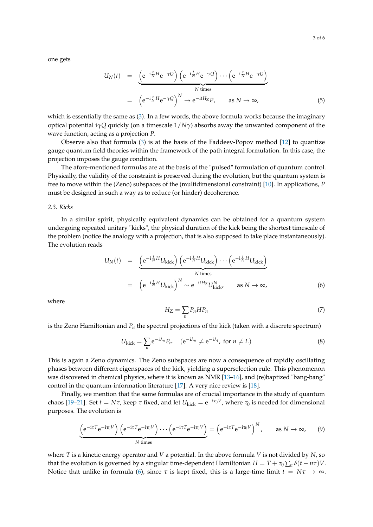one gets

$$
U_N(t) = \underbrace{\left(e^{-i\frac{t}{N}H}e^{-\gamma Q}\right)\left(e^{-i\frac{t}{N}H}e^{-\gamma Q}\right)\cdots\left(e^{-i\frac{t}{N}H}e^{-\gamma Q}\right)}_{N \text{ times}}
$$
\n
$$
= \left(e^{-i\frac{t}{N}H}e^{-\gamma Q}\right)^N \to e^{-itH_Z}P, \quad \text{as } N \to \infty,
$$
\n(5)

which is essentially the same as [\(3\)](#page-1-2). In a few words, the above formula works because the imaginary optical potential i*γQ* quickly (on a timescale 1/*Nγ*) absorbs away the unwanted component of the wave function, acting as a projection *P*.

Observe also that formula  $(3)$  is at the basis of the Faddeev-Popov method  $[12]$  to quantize gauge quantum field theories within the framework of the path integral formulation. In this case, the projection imposes the gauge condition.

The afore-mentioned formulas are at the basis of the "pulsed" formulation of quantum control. Physically, the validity of the constraint is preserved during the evolution, but the quantum system is free to move within the (Zeno) subspaces of the (multidimensional constraint) [\[10\]](#page-4-8). In applications, *P* must be designed in such a way as to reduce (or hinder) decoherence.

### <span id="page-2-3"></span>*2.3. Kicks*

In a similar spirit, physically equivalent dynamics can be obtained for a quantum system undergoing repeated unitary "kicks", the physical duration of the kick being the shortest timescale of the problem (notice the analogy with a projection, that is also supposed to take place instantaneously). The evolution reads

<span id="page-2-0"></span>
$$
U_N(t) = \underbrace{\left(e^{-i\frac{t}{N}H}U_{\text{kick}}\right)\left(e^{-i\frac{t}{N}H}U_{\text{kick}}\right)\cdots\left(e^{-i\frac{t}{N}H}U_{\text{kick}}\right)}_{N \text{ times}}
$$
\n
$$
= \left(e^{-i\frac{t}{N}H}U_{\text{kick}}\right)^N \sim e^{-i t H_Z} U_{\text{kick}}^N \qquad \text{as } N \to \infty,
$$
\n(6)

where

<span id="page-2-2"></span>
$$
H_Z = \sum_n P_n H P_n \tag{7}
$$

is the Zeno Hamiltonian and  $P<sub>n</sub>$  the spectral projections of the kick (taken with a discrete spectrum)

$$
U_{\text{kick}} = \sum_{n} e^{-i\lambda_n} P_n. \quad (e^{-i\lambda_n} \neq e^{-i\lambda_l}, \text{ for } n \neq l.) \tag{8}
$$

This is again a Zeno dynamics. The Zeno subspaces are now a consequence of rapidly oscillating phases between different eigenspaces of the kick, yielding a superselection rule. This phenomenon was discovered in chemical physics, where it is known as NMR [\[13](#page-4-11)[–16\]](#page-4-12), and (re)baptized "bang-bang" control in the quantum-information literature [\[17\]](#page-4-13). A very nice review is [\[18\]](#page-4-14).

Finally, we mention that the same formulas are of crucial importance in the study of quantum chaos [\[19–](#page-5-0)[21\]](#page-5-1). Set *t* = Nτ, keep τ fixed, and let  $U_{\text{kick}} = e^{-i\tau_0 V}$ , where  $\tau_0$  is needed for dimensional purposes. The evolution is

<span id="page-2-1"></span>
$$
\underbrace{\left(e^{-i\tau T}e^{-i\tau_0 V}\right)\left(e^{-i\tau T}e^{-i\tau_0 V}\right)\cdots\left(e^{-i\tau T}e^{-i\tau_0 V}\right)}_{N \text{ times}}=\left(e^{-i\tau T}e^{-i\tau_0 V}\right)^N, \quad \text{as } N \to \infty,
$$
 (9)

where *T* is a kinetic energy operator and *V* a potential. In the above formula *V* is not divided by *N*, so that the evolution is governed by a singular time-dependent Hamiltonian  $H = T + \tau_0 \sum_n \delta(t - n\tau) V$ . Notice that unlike in formula [\(6\)](#page-2-0), since  $\tau$  is kept fixed, this is a large-time limit  $t = N\tau \to \infty$ .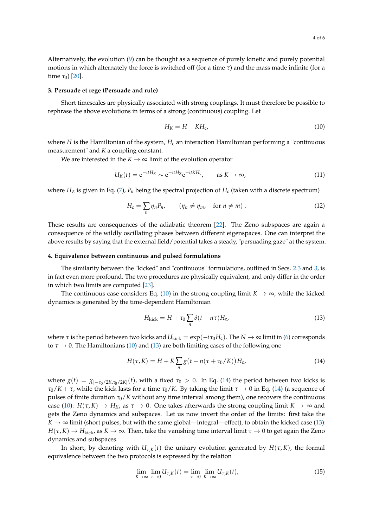Alternatively, the evolution [\(9\)](#page-2-1) can be thought as a sequence of purely kinetic and purely potential motions in which alternately the force is switched off (for a time *τ*) and the mass made infinite (for a time  $τ_0$ ) [\[20\]](#page-5-2).

#### <span id="page-3-0"></span>**3. Persuade et rege (Persuade and rule)**

Short timescales are physically associated with strong couplings. It must therefore be possible to rephrase the above evolutions in terms of a strong (continuous) coupling. Let

<span id="page-3-1"></span>
$$
H_K = H + KH_c,\tag{10}
$$

where *H* is the Hamiltonian of the system,  $H_c$  an interaction Hamiltonian performing a "continuous measurement" and *K* a coupling constant.

We are interested in the  $K \to \infty$  limit of the evolution operator

$$
U_K(t) = e^{-itH_K} \sim e^{-itH_Z} e^{-itKH_C}, \qquad \text{as } K \to \infty,
$$
 (11)

where  $H_Z$  is given in Eq. [\(7\)](#page-2-2),  $P_n$  being the spectral projection of  $H_c$  (taken with a discrete spectrum)

$$
H_{\rm c} = \sum_{n} \eta_n P_n, \qquad (\eta_n \neq \eta_m, \quad \text{for } n \neq m) \,.
$$
 (12)

These results are consequences of the adiabatic theorem [\[22\]](#page-5-3). The Zeno subspaces are again a consequence of the wildly oscillating phases between different eigenspaces. One can interpret the above results by saying that the external field/potential takes a steady, "persuading gaze" at the system.

## **4. Equivalence between continuous and pulsed formulations**

The similarity between the "kicked" and "continuous" formulations, outlined in Secs. [2.3](#page-2-3) and [3,](#page-3-0) is in fact even more profound. The two procedures are physically equivalent, and only differ in the order in which two limits are computed [\[23\]](#page-5-4).

The continuous case considers Eq. [\(10\)](#page-3-1) in the strong coupling limit  $K \to \infty$ , while the kicked dynamics is generated by the time-dependent Hamiltonian

<span id="page-3-2"></span>
$$
H_{\text{kick}} = H + \tau_0 \sum_{n} \delta(t - n\tau) H_{\text{c}}, \tag{13}
$$

where  $\tau$  is the period between two kicks and  $U_{\text{kick}} = \exp(-i\tau_0 H_c)$ . The  $N \to \infty$  limit in [\(6\)](#page-2-0) corresponds to  $\tau \to 0$ . The Hamiltonians [\(10\)](#page-3-1) and [\(13\)](#page-3-2) are both limiting cases of the following one

<span id="page-3-3"></span>
$$
H(\tau, K) = H + K \sum_{n} g\left(t - n(\tau + \tau_0/K)\right) H_{\rm c},\tag{14}
$$

where  $g(t) = \chi_{[-\tau_0/2K,\tau_0/2K]}(t)$ , with a fixed  $\tau_0 > 0$ . In Eq. [\(14\)](#page-3-3) the period between two kicks is  $\tau_0/K + \tau$ , while the kick lasts for a time  $\tau_0/K$ . By taking the limit  $\tau \to 0$  in Eq. [\(14\)](#page-3-3) (a sequence of pulses of finite duration *τ*0/*K* without any time interval among them), one recovers the continuous case [\(10\)](#page-3-1):  $H(\tau, K) \to H_K$ , as  $\tau \to 0$ . One takes afterwards the strong coupling limit  $K \to \infty$  and gets the Zeno dynamics and subspaces. Let us now invert the order of the limits: first take the  $K \to \infty$  limit (short pulses, but with the same global—integral—effect), to obtain the kicked case [\(13\)](#page-3-2):  $H(\tau, K) \to H_{\text{kick}}$ , as  $K \to \infty$ . Then, take the vanishing time interval limit  $\tau \to 0$  to get again the Zeno dynamics and subspaces.

In short, by denoting with  $U_{\tau,K}(t)$  the unitary evolution generated by  $H(\tau,K)$ , the formal equivalence between the two protocols is expressed by the relation

$$
\lim_{K \to \infty} \lim_{\tau \to 0} U_{\tau,K}(t) = \lim_{\tau \to 0} \lim_{K \to \infty} U_{\tau,K}(t),
$$
\n(15)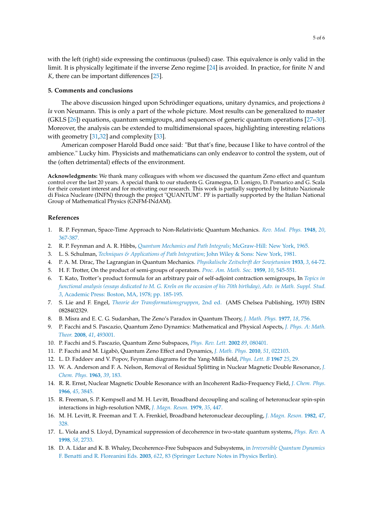with the left (right) side expressing the continuous (pulsed) case. This equivalence is only valid in the limit. It is physically legitimate if the inverse Zeno regime [\[24\]](#page-5-5) is avoided. In practice, for finite *N* and *K*, there can be important differences [\[25\]](#page-5-6).

#### **5. Comments and conclusions**

The above discussion hinged upon Schrödinger equations, unitary dynamics, and projections *à la* von Neumann. This is only a part of the whole picture. Most results can be generalized to master (GKLS [\[26\]](#page-5-7)) equations, quantum semigroups, and sequences of generic quantum operations [\[27–](#page-5-8)[30\]](#page-5-9). Moreover, the analysis can be extended to multidimensional spaces, highlighting interesting relations with geometry [\[31,](#page-5-10)[32\]](#page-5-11) and complexity [\[33\]](#page-5-12).

American composer Harold Budd once said: "But that's fine, because I like to have control of the ambience." Lucky him. Physicists and mathematicians can only endeavor to control the system, out of the (often detrimental) effects of the environment.

**Acknowledgments:** We thank many colleagues with whom we discussed the quantum Zeno effect and quantum control over the last 20 years. A special thank to our students G. Gramegna, D. Lonigro, D. Pomarico and G. Scala for their constant interest and for motivating our research. This work is partially supported by Istituto Nazionale di Fisica Nucleare (INFN) through the project "QUANTUM". PF is partially supported by the Italian National Group of Mathematical Physics (GNFM-INdAM).

## **References**

- <span id="page-4-0"></span>1. R. P. Feynman, Space-Time Approach to Non-Relativistic Quantum Mechanics. *[Rev. Mod. Phys.](https://doi.org/10.1103/RevModPhys.20.367)* **1948**, *20*, [367-387.](https://doi.org/10.1103/RevModPhys.20.367)
- 2. R. P. Feynman and A. R. Hibbs, *[Quantum Mechanics and Path Integrals](https://www.amazon.com/Quantum-Mechanics-Integrals-Richard-Feynman/dp/0070206503)*; McGraw-Hill: New York, 1965.
- <span id="page-4-1"></span>3. L. S. Schulman, *[Techniques & Applications of Path Integration](http://store.doverpublications.com/0486445283.html)*; John Wiley & Sons: New York, 1981.
- <span id="page-4-2"></span>4. P. A. M. Dirac, The Lagrangian in Quantum Mechanics. *[Physikalische Zeitschrift der Sowjetunion](http://www.hep.anl.gov/czachos/soysoy/Dirac33.pdf)* **1933**, *3*, 64-72.
- <span id="page-4-3"></span>5. H. F. Trotter, On the product of semi-groups of operators. *[Proc. Am. Math. Soc.](http://www.ams.org/journals/proc/1959-010-04/S0002-9939-1959-0108732-6/home.html)* **1959**, *10*, 545-551.
- <span id="page-4-4"></span>6. T. Kato, Trotter's product formula for an arbitrary pair of self-adjoint contraction semigroups, In *[Topics in](https://mathscinet.ams.org/mathscinet-getitem?mr=0538020) [functional analysis \(essays dedicated to M. G. Kre˘ın on the occasion of his 70th birthday\), Adv. in Math. Suppl. Stud.](https://mathscinet.ams.org/mathscinet-getitem?mr=0538020) 3*[, Academic Press: Boston, MA, 1978; pp. 185-195.](https://mathscinet.ams.org/mathscinet-getitem?mr=0538020)
- <span id="page-4-5"></span>7. S. Lie and F. Engel, *[Theorie der Transformationsgruppen](https://arxiv.org/abs/1003.3202v1)*, 2nd ed. (AMS Chelsea Publishing, 1970) ISBN 0828402329.
- <span id="page-4-6"></span>8. B. Misra and E. C. G. Sudarshan, The Zeno's Paradox in Quantum Theory, *[J. Math. Phys.](https://doi.org/10.1063/1.523304)* **1977**, *18*, 756.
- <span id="page-4-7"></span>9. P. Facchi and S. Pascazio, Quantum Zeno Dynamics: Mathematical and Physical Aspects, *[J. Phys. A: Math.](https://doi.org/10.1088/1751-8113/41/49/493001) Theor.* **2008**, *41*[, 493001.](https://doi.org/10.1088/1751-8113/41/49/493001)
- <span id="page-4-8"></span>10. P. Facchi and S. Pascazio, Quantum Zeno Subspaces, *[Phys. Rev. Lett.](https://doi.org/10.1103/PhysRevLett.89.080401)* **2002** *89*, 080401.
- <span id="page-4-9"></span>11. P. Facchi and M. Ligabò, Quantum Zeno Effect and Dynamics, *[J. Math. Phys.](https://doi.org/10.1063/1.3290971)* **2010**, *51*, 022103.
- <span id="page-4-10"></span>12. L. D. Faddeev and V. Popov, Feynman diagrams for the Yang-Mills field, *[Phys. Lett. B](https://www.sciencedirect.com/science/article/pii/0370269367900676?via%3Dihub)* **1967** *25*, 29.
- <span id="page-4-11"></span>13. W. A. Anderson and F. A. Nelson, Removal of Residual Splitting in Nuclear Magnetic Double Resonance, *[J.](https://doi.org/10.1063/1.1734000) [Chem. Phys.](https://doi.org/10.1063/1.1734000)* **1963**, *39*, 183.
- 14. R. R. Ernst, Nuclear Magnetic Double Resonance with an Incoherent Radio-Frequency Field, *[J. Chem. Phys.](https://doi.org/10.1063/1.1727409)* **1966**, *45*[, 3845.](https://doi.org/10.1063/1.1727409)
- 15. R. Freeman, S. P. Kempsell and M. H. Levitt, Broadband decoupling and scaling of heteronuclear spin-spin interactions in high-resolution NMR, *[J. Magn. Reson.](https://doi.org/10.1016/0022-2364(79)90067-2)* **1979**, *35*, 447.
- <span id="page-4-12"></span>16. M. H. Levitt, R. Freeman and T. A. Frenkiel, Broadband heteronuclear decoupling, *[J. Magn. Reson.](https://doi.org/10.1016/0022-2364(82)90124-X)* **1982**, 47, [328.](https://doi.org/10.1016/0022-2364(82)90124-X)
- <span id="page-4-13"></span>17. L. Viola and S. Lloyd, Dynamical suppression of decoherence in two-state quantum systems, *[Phys. Rev.](https://doi.org/10.1103/PhysRevA.58.2733)* A **1998**, *58*[, 2733.](https://doi.org/10.1103/PhysRevA.58.2733)
- <span id="page-4-14"></span>18. D. A. Lidar and K. B. Whaley, Decoherence-Free Subspaces and Subsystems, in *[Irreversible Quantum Dynamics](https://doi.org/10.1007/3-540-44874-8_5)* F. Benatti and R. Floreanini Eds. **2003**, *622*[, 83 \(Springer Lecture Notes in Physics Berlin\).](https://doi.org/10.1007/3-540-44874-8_5)